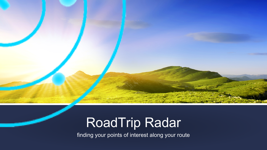# RoadTrip Radar

finding your points of interest along your route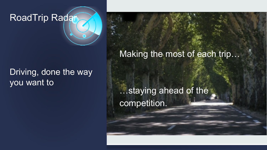RoadTrip Radar

Driving, done the way you want to

Making the most of each trip…

…staying ahead of the competition.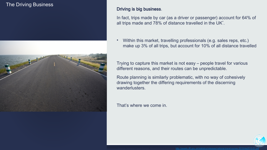## The Driving Business



### Driving is big business.

In fact, trips made by car (as a driver or passenger) account for 64% of all trips made and 78% of distance travelled in the UK\* .

• Within this market, travelling professionals (e.g. sales reps, etc.) make up 3% of all trips, but account for 10% of all distance travelled

Trying to capture this market is not easy – people travel for various different reasons, and their routes can be unpredictable.

Route planning is similarly problematic, with no way of cohesively drawing together the differing requirements of the discerning wanderlusters.

That's where we come in.

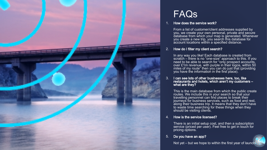

# FAQs

#### How does the service work?

From a list of customer/client addresses supplied by you, we create your own personal, private and secure database from which your map is generated. Whenever you create a new trip, you search this database for account locations within a specified distance.

#### 2. How do I filter my client search?

In any way you like! Each database is created from scratch – there is no "one-size" approach to this. If you need to be able to search for "only prospect accounts, over £1m revenue, with purple in their logos, within 50 miles of my route" then you can do just that (providing you have the information in the first place).

3. I can see lots of other businesses here, too, like restaurants and hotels, which aren't my customers – what are they?

This is the main database from which the public create routes. We include this in your search so that your travelling personnel can find places to break their journeys for business services, such as food and rest, along their business trip. It means that they don't have to waste time searching for these things when they should be visiting clients.

#### 4. How is the service licensed?

There is an initial setup cost, and then a subscription service (priced per user). Feel free to get in touch for pricing options.

#### 5. Do you have an app?

Not yet – but we hope to within the first year of launch

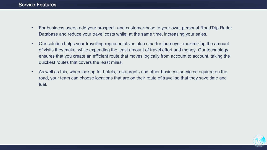- For business users, add your prospect- and customer-base to your own, personal RoadTrip Radar Database and reduce your travel costs while, at the same time, increasing your sales.
- Our solution helps your travelling representatives plan smarter journeys maximizing the amount of visits they make, while expending the least amount of travel effort and money. Our technology ensures that you create an efficient route that moves logically from account to account, taking the quickest routes that covers the least miles.
- As well as this, when looking for hotels, restaurants and other business services required on the road, your team can choose locations that are on their route of travel so that they save time and fuel.